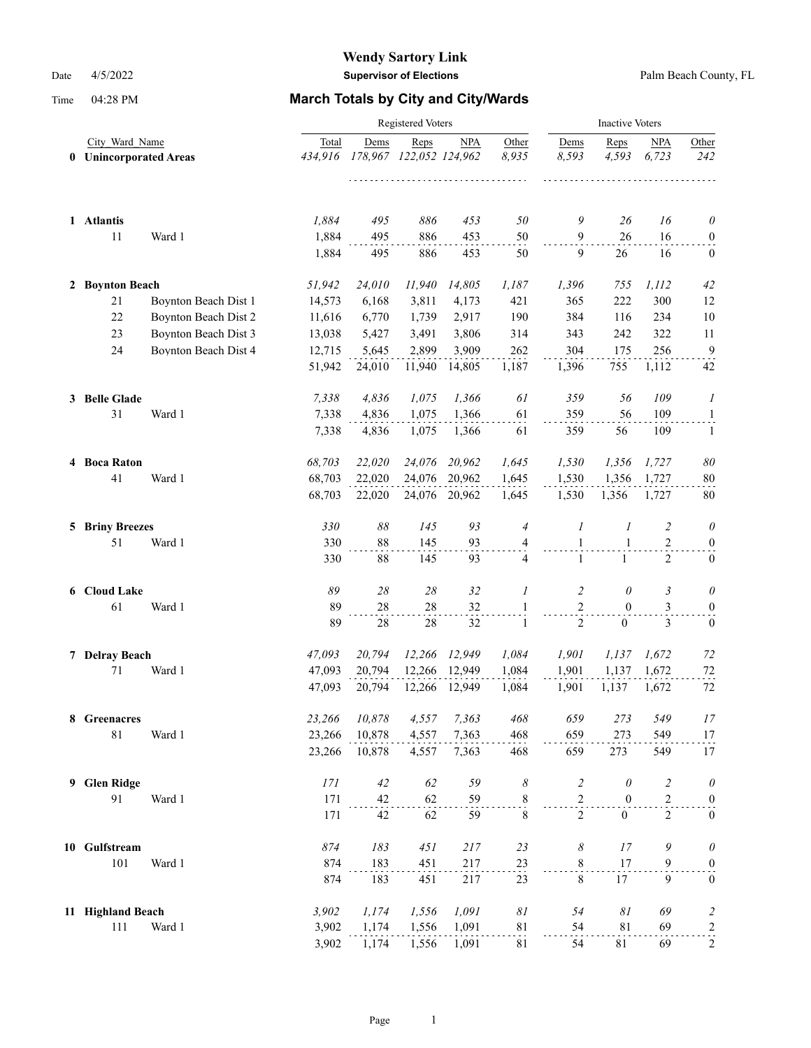|   |                        |                                               |                | <b>Inactive Voters</b> |                                 |            |                          |                |                  |                |                                  |
|---|------------------------|-----------------------------------------------|----------------|------------------------|---------------------------------|------------|--------------------------|----------------|------------------|----------------|----------------------------------|
| 0 |                        | City Ward Name<br><b>Unincorporated Areas</b> |                | Dems                   | Reps<br>178,967 122,052 124,962 | <b>NPA</b> | Other<br>8,935<br>111111 | Dems<br>8,593  | Reps<br>4,593    | NPA<br>6,723   | Other<br>242                     |
|   | 1 Atlantis             |                                               | 1,884          | 495                    | 886                             | 453        | 50                       | 9              | 26               | 16             | $\theta$                         |
|   | 11                     | Ward 1                                        | 1,884<br>1,884 | 495<br>495             | 886<br>886                      | 453<br>453 | 50<br>50                 | 9<br>9         | 26<br>26         | 16<br>16       | $\boldsymbol{0}$<br>$\mathbf{0}$ |
|   | 2 Boynton Beach        |                                               | 51,942         | 24,010                 | 11,940                          | 14,805     | 1,187                    | 1,396          | 755              | 1, 112         | 42                               |
|   | 21                     | Boynton Beach Dist 1                          | 14,573         | 6,168                  | 3,811                           | 4,173      | 421                      | 365            | 222              | 300            | 12                               |
|   | 22                     | Boynton Beach Dist 2                          | 11,616         | 6,770                  | 1,739                           | 2,917      | 190                      | 384            | 116              | 234            | 10                               |
|   | 23                     | Boynton Beach Dist 3                          | 13,038         | 5,427                  | 3,491                           | 3,806      | 314                      | 343            | 242              | 322            | 11                               |
|   | 24                     | Boynton Beach Dist 4                          | 12,715         | 5,645                  | 2,899                           | 3,909      | 262                      | 304            | 175              | 256            | $\overline{9}$                   |
|   |                        |                                               | 51,942         | 24,010                 | 11,940                          | 14,805     | 1,187                    | 1,396          | 755              | 1,112          | 42                               |
|   | 3 Belle Glade          |                                               | 7,338          | 4,836                  | 1,075                           | 1,366      | 61                       | 359            | 56               | 109            | 1                                |
|   | 31                     | Ward 1                                        | 7,338          | 4,836                  | 1,075                           | 1,366      | 61                       | 359            | 56               | 109            | $\mathbf{1}$                     |
|   |                        |                                               | 7,338          | 4,836                  | 1,075                           | 1,366      | 61                       | 359            | 56               | 109            | 1                                |
|   | 4 Boca Raton           |                                               | 68,703         | 22,020                 | 24,076                          | 20,962     | 1,645                    | 1,530          | 1,356            | 1,727          | 80                               |
|   | 41                     | Ward 1                                        | 68,703         | 22,020                 | 24,076                          | 20,962     | 1,645                    | 1,530          | 1,356            | 1,727          | 80                               |
|   |                        |                                               | 68,703         | 22,020                 | 24,076                          | 20,962     | 1,645                    | 1,530          | 1,356            | 1,727          | 80                               |
|   | <b>5 Briny Breezes</b> |                                               | 330            | 88                     | 145                             | 93         | $\overline{4}$           | 1              | 1                | 2              | $\theta$                         |
|   | 51                     | Ward 1                                        | 330            | 88                     | 145                             | 93         | 4                        | $\mathbf{1}$   | 1                | 2              | $\boldsymbol{0}$                 |
|   |                        |                                               | 330            | 88                     | 145                             | 93         | $\overline{4}$           | $\mathbf{1}$   | $\mathbf{1}$     | 2              | $\mathbf{0}$                     |
|   | 6 Cloud Lake           |                                               | 89             | 28                     | 28                              | 32         | 1                        | 2              | $\theta$         | 3              | $\theta$                         |
|   | 61                     | Ward 1                                        | 89             | 28                     | 28                              | 32         | 1                        | $\sqrt{2}$     | $\mathbf{0}$     | 3              | $\boldsymbol{0}$                 |
|   |                        |                                               | 89             | $28\,$                 | 28                              | 32         | 1                        | $\overline{2}$ | $\boldsymbol{0}$ | 3              | $\boldsymbol{0}$                 |
|   | 7 Delray Beach         |                                               | 47,093         | 20,794                 | 12,266                          | 12,949     | 1,084                    | 1,901          | 1,137            | 1,672          | 72                               |
|   | 71                     | Ward 1                                        | 47,093         | 20,794                 | 12,266                          | 12,949     | 1,084                    | 1,901          | 1,137            | 1,672          | 72                               |
|   |                        |                                               | 47,093         | 20,794                 | 12,266                          | 12,949     | 1,084                    | 1,901          | 1,137            | 1,672          | 72                               |
|   | 8 Greenacres           |                                               | 23,266         | 10,878                 | 4,557                           | 7,363      | 468                      | 659            | 273              | 549            | 17                               |
|   | $8\sqrt{1}$            | Ward 1                                        | 23,266         | 10,878                 | 4,557                           | 7,363      | 468                      | 659            | 273              | 549            | 17                               |
|   |                        |                                               | 23,266         | 10,878                 | 4,557                           | 7,363      | 468                      | 659            | 273              | 549            | 17                               |
| 9 | <b>Glen Ridge</b>      |                                               | 171            | 42                     | 62                              | 59         | 8                        | $\overline{c}$ | $\theta$         | $\overline{c}$ | $\theta$                         |
|   | 91                     | Ward 1                                        | 171            | 42                     | 62                              | 59         | $\sum_{i=1}^{8}$         | $\mathbf{2}$   | $\boldsymbol{0}$ | $\mathfrak{2}$ | $\boldsymbol{0}$                 |
|   |                        |                                               | 171            | 42                     | 62                              | 59         | $\,$ 8 $\,$              | $\overline{c}$ | $\boldsymbol{0}$ | $\overline{2}$ | $\boldsymbol{0}$                 |
|   | 10 Gulfstream          |                                               | 874            | 183                    | 451                             | 217        | 23                       | 8              | 17               | 9              | $\theta$                         |
|   | 101                    | Ward 1                                        | 874            | 183                    | 451                             | 217        | $\frac{23}{1}$           | 8              | 17               | 9              | $\boldsymbol{0}$                 |
|   |                        |                                               | 874            | 183                    | 451                             | 217        | 23                       | $\,8\,$        | 17               | 9              | $\boldsymbol{0}$                 |
|   | 11 Highland Beach      |                                               | 3,902          | 1,174                  | 1,556                           | 1,091      | $\delta l$               | 54             | $\delta l$       | 69             | $\overline{\mathbf{c}}$          |
|   | $111\,$                | Ward 1                                        | 3,902          | 1,174                  | 1,556                           | 1,091      | $8\sqrt{1}$              | 54             | 81               | 69             | $\overline{a}$                   |
|   |                        |                                               | 3,902          | 1,174                  | 1,556                           | 1,091      | 81                       | 54             | 81               | 69             | $\overline{c}$                   |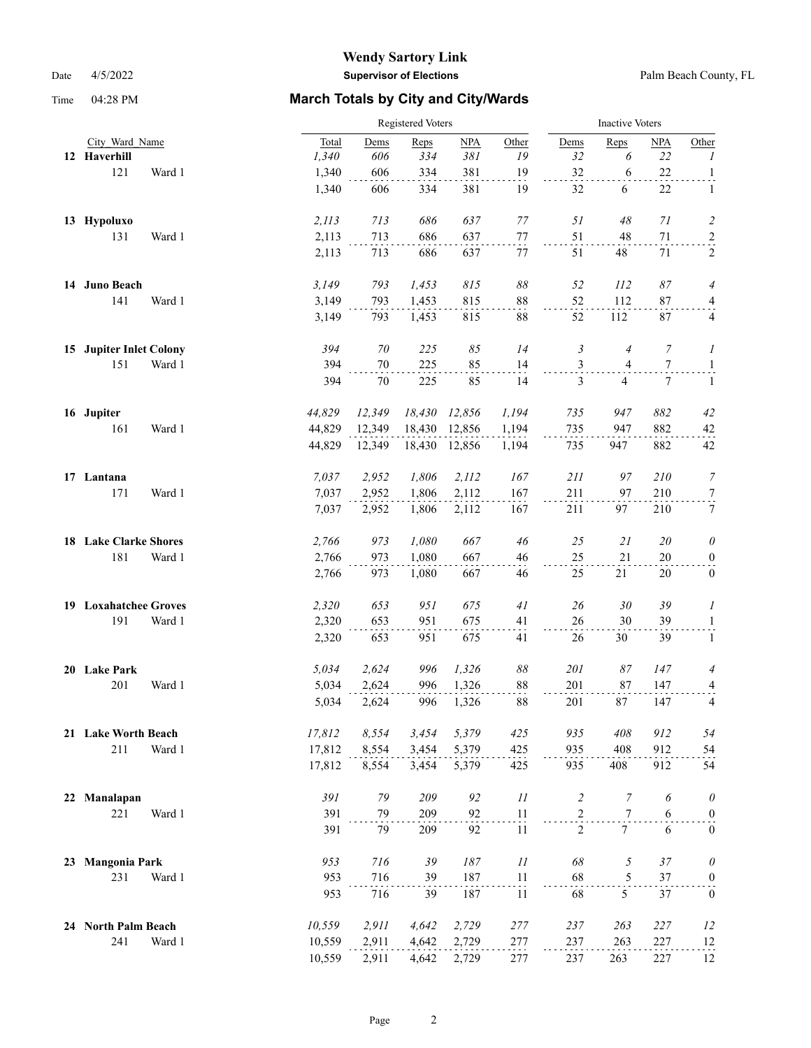|    |                              |        |        | Registered Voters |        |        |                |                |                | <b>Inactive Voters</b> |                         |  |  |
|----|------------------------------|--------|--------|-------------------|--------|--------|----------------|----------------|----------------|------------------------|-------------------------|--|--|
|    | City Ward Name               |        | Total  | Dems              | Reps   | NPA    | Other          | Dems           | Reps           | <b>NPA</b>             | Other                   |  |  |
|    | 12 Haverhill                 |        | 1,340  | 606               | 334    | 381    | 19             | 32             | 6              | 22                     | $\mathcal{I}$           |  |  |
|    | 121                          | Ward 1 | 1,340  | 606               | 334    | 381    | 19             | 32             | 6              | $22\,$                 | $\overline{a}$          |  |  |
|    |                              |        | 1,340  | 606               | 334    | 381    | 19             | 32             | 6              | 22                     | 1                       |  |  |
|    | 13 Hypoluxo                  |        | 2, 113 | 713               | 686    | 637    | 77             | 51             | 48             | 71                     | $\overline{c}$          |  |  |
|    | 131                          | Ward 1 | 2,113  | 713               | 686    | 637    | 77             | 51             | 48             | $71\,$                 | $\overline{a}$          |  |  |
|    |                              |        | 2,113  | 713               | 686    | 637    | 77             | 51             | 48             | 71                     | $\sqrt{2}$              |  |  |
|    | 14 Juno Beach                |        | 3,149  | 793               | 1,453  | 815    | $\delta\delta$ | 52             | 112            | 87                     | $\overline{4}$          |  |  |
|    | 141                          | Ward 1 | 3,149  | 793               | 1,453  | 815    | 88             | 52             | 112            | 87                     | $\overline{\mathbf{4}}$ |  |  |
|    |                              |        | 3,149  | 793               | 1,453  | 815    | 88             | 52             | 112            | 87                     | 4                       |  |  |
|    | 15 Jupiter Inlet Colony      |        | 394    | 70                | 225    | 85     | 14             | 3              | 4              | 7                      | 1                       |  |  |
|    | 151                          | Ward 1 | 394    | 70                | 225    | 85     | 14             | $\mathfrak{Z}$ | 4              | 7                      | $\mathbf{1}$            |  |  |
|    |                              |        | 394    | 70                | 225    | 85     | 14             | 3              | $\overline{4}$ | 7                      | 1                       |  |  |
|    | 16 Jupiter                   |        | 44,829 | 12,349            | 18,430 | 12,856 | 1,194          | 735            | 947            | 882                    | 42                      |  |  |
|    | 161                          | Ward 1 | 44,829 | 12,349            | 18,430 | 12,856 | 1,194          | 735            | 947            | 882                    | 42                      |  |  |
|    |                              |        | 44,829 | 12,349            | 18,430 | 12,856 | 1,194          | 735            | 947            | 882                    | 42                      |  |  |
|    | 17 Lantana                   |        | 7,037  | 2,952             | 1,806  | 2,112  | 167            | 211            | 97             | 210                    | 7                       |  |  |
|    | 171                          | Ward 1 | 7,037  | 2,952             | 1,806  | 2,112  | 167            | 211            | 97             | 210                    | 7                       |  |  |
|    |                              |        | 7,037  | 2,952             | 1,806  | 2,112  | 167            | 211            | 97             | 210                    | $\tau$                  |  |  |
|    | <b>18 Lake Clarke Shores</b> |        | 2,766  | 973               | 1,080  | 667    | 46             | 25             | 21             | 20                     | 0                       |  |  |
|    | 181                          | Ward 1 | 2,766  | 973               | 1,080  | 667    | 46             | 25             | 21             | 20                     | $\boldsymbol{0}$        |  |  |
|    |                              |        | 2,766  | 973               | 1,080  | 667    | 46             | 25             | 21             | 20                     | $\boldsymbol{0}$        |  |  |
|    | 19 Loxahatchee Groves        |        | 2,320  | 653               | 951    | 675    | 41             | 26             | 30             | 39                     | 1                       |  |  |
|    | 191                          | Ward 1 | 2,320  | 653               | 951    | 675    | 41             | 26             | 30             | 39                     | $\mathbf{1}$            |  |  |
|    |                              |        | 2,320  | 653               | 951    | 675    | 41             | 26             | 30             | 39                     | $\mathbf{1}$            |  |  |
|    | 20 Lake Park                 |        | 5,034  | 2,624             | 996    | 1,326  | $\delta\delta$ | 201            | 87             | 147                    | 4                       |  |  |
|    | 201                          | Ward 1 | 5,034  | 2,624             | 996    | 1,326  | 88             | 201            | 87             | 147                    | 4                       |  |  |
|    |                              |        | 5,034  | 2,624             | 996    | 1,326  | 88             | 201            | 87             | 147                    | 4                       |  |  |
|    | 21 Lake Worth Beach          |        | 17,812 | 8,554             | 3,454  | 5,379  | 425            | 935            | 408            | 912                    | 54                      |  |  |
|    | 211                          | Ward 1 | 17,812 | 8,554             | 3,454  | 5,379  | 425            | 935            | 408            | 912                    | 54                      |  |  |
|    |                              |        | 17,812 | 8,554             | 3,454  | 5,379  | 425            | 935            | 408            | 912                    | 54                      |  |  |
| 22 | Manalapan                    |        | 391    | 79                | 209    | 92     | 11             | $\overline{c}$ | 7              | 6                      | $\theta$                |  |  |
|    | 221                          | Ward 1 | 391    | 79                | 209    | 92     | 11             | $\overline{c}$ | $\tau$         | 6                      | $\overline{0}$          |  |  |
|    |                              |        | 391    | 79                | 209    | 92     | 11             | $\overline{2}$ | $\tau$         | 6                      | $\boldsymbol{0}$        |  |  |
| 23 | <b>Mangonia Park</b>         |        | 953    | 716               | 39     | 187    | 11             | 68             | 5              | 37                     | $\theta$                |  |  |
|    | 231                          | Ward 1 | 953    | 716               | 39     | 187    | 11             | 68             | 5              | 37                     | $\boldsymbol{0}$        |  |  |
|    |                              |        | 953    | 716               | 39     | 187    | 11             | 68             | 5              | 37                     | $\mathbf{0}$            |  |  |
|    | 24 North Palm Beach          |        | 10,559 | 2,911             | 4,642  | 2,729  | 277            | 237            | 263            | 227                    | 12                      |  |  |
|    | 241                          | Ward 1 | 10,559 | 2,911             | 4,642  | 2,729  | 277            | 237            | 263            | 227                    | 12                      |  |  |
|    |                              |        | 10,559 | 2,911             | 4,642  | 2,729  | 277            | 237            | 263            | 227                    | 12                      |  |  |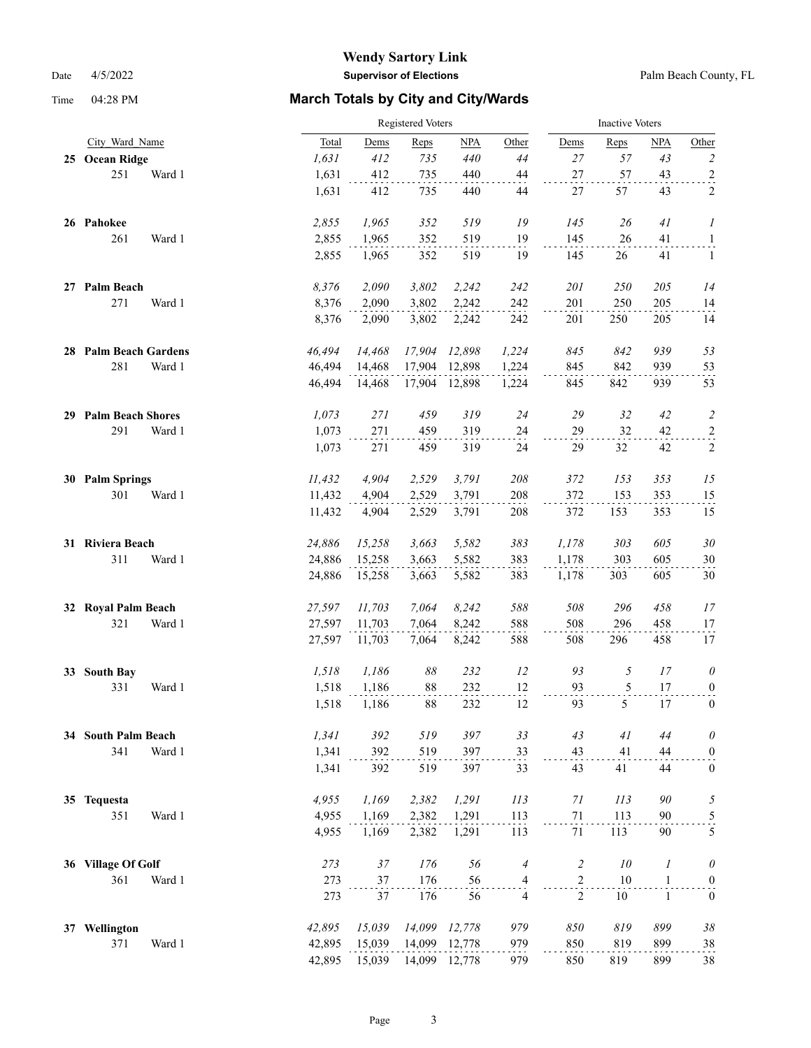|    |                          |        |        | Registered Voters |        |        |                |                | <b>Inactive Voters</b> |              |                  |  |  |
|----|--------------------------|--------|--------|-------------------|--------|--------|----------------|----------------|------------------------|--------------|------------------|--|--|
|    | City Ward Name           |        | Total  | Dems              | Reps   | NPA    | Other          | Dems           | Reps                   | NPA          | Other            |  |  |
|    | 25 Ocean Ridge           |        | 1,631  | 412               | 735    | 440    | 44             | 27             | 57                     | 43           | $\overline{c}$   |  |  |
|    | 251                      | Ward 1 | 1,631  | 412               | 735    | 440    | 44             | 27             | 57                     | 43           | $\overline{a}$   |  |  |
|    |                          |        | 1,631  | 412               | 735    | 440    | 44             | 27             | 57                     | 43           | 2                |  |  |
|    | 26 Pahokee               |        | 2,855  | 1,965             | 352    | 519    | 19             | 145            | 26                     | 41           | 1                |  |  |
|    | 261                      | Ward 1 | 2,855  | 1,965             | 352    | 519    | 19             | 145            | 26                     | 41           | $\mathbf{1}$     |  |  |
|    |                          |        | 2,855  | 1,965             | 352    | 519    | 19             | 145            | 26                     | 41           | $\mathbf{1}$     |  |  |
|    | 27 Palm Beach            |        | 8,376  | 2,090             | 3,802  | 2,242  | 242            | 201            | 250                    | 205          | 14               |  |  |
|    | 271                      | Ward 1 | 8,376  | 2,090             | 3,802  | 2,242  | 242            | 201            | 250                    | 205          | 14               |  |  |
|    |                          |        | 8,376  | 2,090             | 3,802  | 2,242  | 242            | 201            | 250                    | 205          | 14               |  |  |
|    | 28 Palm Beach Gardens    |        | 46,494 | 14,468            | 17,904 | 12,898 | 1,224          | 845            | 842                    | 939          | 53               |  |  |
|    | 281                      | Ward 1 | 46,494 | 14,468            | 17,904 | 12,898 | 1,224          | 845            | 842                    | 939          | 53               |  |  |
|    |                          |        | 46.494 | 14,468            | 17,904 | 12,898 | 1,224          | 845            | 842                    | 939          | 53               |  |  |
| 29 | <b>Palm Beach Shores</b> |        | 1,073  | 271               | 459    | 319    | 24             | 29             | 32                     | 42           | $\overline{c}$   |  |  |
|    | 291                      | Ward 1 | 1,073  | 271               | 459    | 319    | 24             | 29             | 32                     | 42           | $\overline{c}$   |  |  |
|    |                          |        | 1,073  | 271               | 459    | 319    | 24             | 29             | 32                     | 42           | $\overline{c}$   |  |  |
|    | 30 Palm Springs          |        | 11,432 | 4,904             | 2,529  | 3,791  | 208            | 372            | 153                    | 353          | 15               |  |  |
|    | 301                      | Ward 1 | 11,432 | 4,904             | 2,529  | 3,791  | 208            | 372            | 153                    | 353          | 15               |  |  |
|    |                          |        | 11,432 | 4,904             | 2,529  | 3,791  | 208            | 372            | 153                    | 353          | 15               |  |  |
|    | 31 Riviera Beach         |        | 24,886 | 15,258            | 3,663  | 5,582  | 383            | 1,178          | 303                    | 605          | $30\,$           |  |  |
|    | 311                      | Ward 1 | 24,886 | 15,258            | 3,663  | 5,582  | 383            | 1,178          | 303                    | 605          | 30               |  |  |
|    |                          |        | 24,886 | 15,258            | 3,663  | 5,582  | 383            | 1,178          | 303                    | 605          | 30               |  |  |
| 32 | <b>Royal Palm Beach</b>  |        | 27,597 | 11,703            | 7,064  | 8,242  | 588            | 508            | 296                    | 458          | 17               |  |  |
|    | 321                      | Ward 1 | 27,597 | 11,703            | 7,064  | 8,242  | 588            | 508            | 296                    | 458          | 17               |  |  |
|    |                          |        | 27,597 | 11,703            | 7,064  | 8,242  | 588            | 508            | 296                    | 458          | 17               |  |  |
| 33 | <b>South Bay</b>         |        | 1,518  | 1,186             | 88     | 232    | 12             | 93             | 5                      | 17           | $\theta$         |  |  |
|    | 331                      | Ward 1 | 1,518  | 1,186             | 88     | 232    | 12             | 93             | 5                      | 17           | $\overline{0}$   |  |  |
|    |                          |        | 1,518  | 1,186             | 88     | 232    | 12             | 93             | 5                      | 17           | $\boldsymbol{0}$ |  |  |
|    | 34 South Palm Beach      |        | 1,341  | 392               | 519    | 397    | 33             | 43             | 41                     | 44           | $\theta$         |  |  |
|    | 341                      | Ward 1 | 1,341  | 392               | 519    | 397    | 33             | 43             | 41                     | 44           | $\boldsymbol{0}$ |  |  |
|    |                          |        | 1,341  | 392               | 519    | 397    | 33             | 43             | 41                     | 44           | $\boldsymbol{0}$ |  |  |
| 35 | <b>Tequesta</b>          |        | 4,955  | 1,169             | 2,382  | 1,291  | 113            | 71             | 113                    | 90           | $\sqrt{2}$       |  |  |
|    | 351                      | Ward 1 | 4,955  | 1,169             | 2,382  | 1,291  | 113            | $71\,$         | 113                    | 90           | 5                |  |  |
|    |                          |        | 4,955  | 1,169             | 2,382  | 1,291  | 113            | 71             | 113                    | 90           | 5                |  |  |
|    | 36 Village Of Golf       |        | 273    | $37\,$            | 176    | 56     | $\overline{4}$ | $\overline{c}$ | $10\,$                 | 1            | $\theta$         |  |  |
|    | 361                      | Ward 1 | 273    | 37                | 176    | 56     | $\overline{4}$ | $\mathbf{2}$   | $10\,$                 | $\mathbf{1}$ | $\boldsymbol{0}$ |  |  |
|    |                          |        | 273    | 37                | 176    | 56     | $\overline{4}$ | $\overline{2}$ | 10                     | $\mathbf{1}$ | $\boldsymbol{0}$ |  |  |
| 37 | Wellington               |        | 42,895 | 15,039            | 14,099 | 12,778 | 979            | 850            | 819                    | 899          | $38\,$           |  |  |
|    | 371                      | Ward 1 | 42,895 | 15,039            | 14,099 | 12,778 | 979            | 850            | 819                    | 899          | 38               |  |  |
|    |                          |        | 42,895 | 15,039            | 14,099 | 12,778 | 979            | 850            | 819                    | 899          | 38               |  |  |